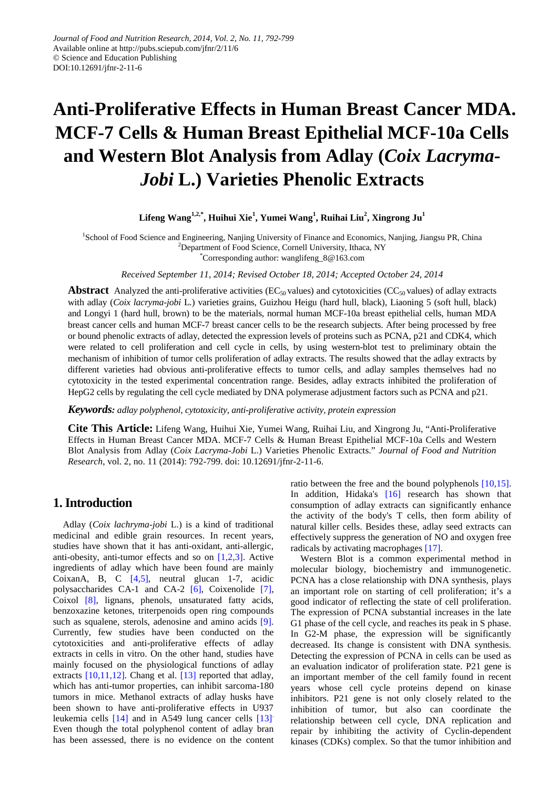# **Anti-Proliferative Effects in Human Breast Cancer MDA. MCF-7 Cells & Human Breast Epithelial MCF-10a Cells and Western Blot Analysis from Adlay (***Coix Lacryma-Jobi* **L.) Varieties Phenolic Extracts**

**Lifeng Wang1,2,\*, Huihui Xie1 , Yumei Wang<sup>1</sup> , Ruihai Liu2 , Xingrong Ju1**

<sup>1</sup>School of Food Science and Engineering, Nanjing University of Finance and Economics, Nanjing, Jiangsu PR, China <sup>2</sup>Department of Food Science, Cornell University, Ithaca, NY

\* Corresponding author: wanglifeng\_8@163.com

*Received September 11, 2014; Revised October 18, 2014; Accepted October 24, 2014*

**Abstract** Analyzed the anti-proliferative activities ( $EC_{50}$  values) and cytotoxicities ( $CC_{50}$  values) of adlay extracts with adlay (*Coix lacryma-jobi* L*.*) varieties grains, Guizhou Heigu (hard hull, black), Liaoning 5 (soft hull, black) and Longyi 1 (hard hull, brown) to be the materials, normal human MCF-10a breast epithelial cells, human MDA breast cancer cells and human MCF-7 breast cancer cells to be the research subjects. After being processed by free or bound phenolic extracts of adlay, detected the expression levels of proteins such as PCNA, p21 and CDK4, which were related to cell proliferation and cell cycle in cells, by using western-blot test to preliminary obtain the mechanism of inhibition of tumor cells proliferation of adlay extracts. The results showed that the adlay extracts by different varieties had obvious anti-proliferative effects to tumor cells, and adlay samples themselves had no cytotoxicity in the tested experimental concentration range. Besides, adlay extracts inhibited the proliferation of HepG2 cells by regulating the cell cycle mediated by DNA polymerase adjustment factors such as PCNA and p21.

*Keywords: adlay polyphenol, cytotoxicity, anti-proliferative activity, protein expression*

**Cite This Article:** Lifeng Wang, Huihui Xie, Yumei Wang, Ruihai Liu, and Xingrong Ju, "Anti-Proliferative Effects in Human Breast Cancer MDA. MCF-7 Cells & Human Breast Epithelial MCF-10a Cells and Western Blot Analysis from Adlay (*Coix Lacryma-Jobi* L.) Varieties Phenolic Extracts." *Journal of Food and Nutrition Research*, vol. 2, no. 11 (2014): 792-799. doi: 10.12691/jfnr-2-11-6.

## **1. Introduction**

Adlay (*Coix lachryma-jobi* L.) is a kind of traditional medicinal and edible grain resources. In recent years, studies have shown that it has anti-oxidant, anti-allergic, anti-obesity, anti-tumor effects and so on [\[1,2,3\].](#page-6-0) Active ingredients of adlay which have been found are mainly CoixanA, B, C [\[4,5\],](#page-7-0) neutral glucan 1-7, acidic polysaccharides CA-1 and CA-2 [\[6\],](#page-7-1) Coixenolide [\[7\],](#page-7-2) Coixol [\[8\],](#page-7-3) lignans, phenols, unsaturated fatty acids, benzoxazine ketones, triterpenoids open ring compounds such as squalene, sterols, adenosine and amino acids [\[9\].](#page-7-4) Currently, few studies have been conducted on the cytotoxicities and anti-proliferative effects of adlay extracts in cells in vitro. On the other hand, studies have mainly focused on the physiological functions of adlay extracts [\[10,11,12\].](#page-7-5) Chang et al. [\[13\]](#page-7-6) reported that adlay, which has anti-tumor properties, can inhibit sarcoma-180 tumors in mice. Methanol extracts of adlay husks have been shown to have anti-proliferative effects in U937 leukemia cells [\[14\]](#page-7-7) and in A549 lung cancer cells [\[13\]](#page-7-6). Even though the total polyphenol content of adlay bran has been assessed, there is no evidence on the content ratio between the free and the bound polyphenols [\[10,15\].](#page-7-5) In addition, Hidaka's [\[16\]](#page-7-8) research has shown that consumption of adlay extracts can significantly enhance the activity of the body's T cells, then form ability of natural killer cells. Besides these, adlay seed extracts can effectively suppress the generation of NO and oxygen free radicals by activating macrophages [\[17\].](#page-7-9)

Western Blot is a common experimental method in molecular biology, biochemistry and immunogenetic. PCNA has a close relationship with DNA synthesis, plays an important role on starting of cell proliferation; it's a good indicator of reflecting the state of cell proliferation. The expression of PCNA substantial increases in the late G1 phase of the cell cycle, and reaches its peak in S phase. In G2-M phase, the expression will be significantly decreased. Its change is consistent with DNA synthesis. Detecting the expression of PCNA in cells can be used as an evaluation indicator of proliferation state. P21 gene is an important member of the cell family found in recent years whose cell cycle proteins depend on kinase inhibitors. P21 gene is not only closely related to the inhibition of tumor, but also can coordinate the relationship between cell cycle, DNA replication and repair by inhibiting the activity of Cyclin-dependent kinases (CDKs) complex. So that the tumor inhibition and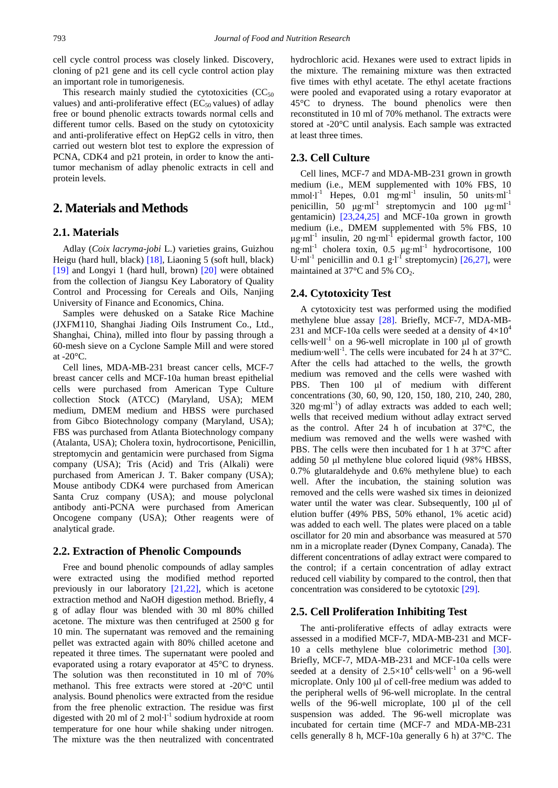cell cycle control process was closely linked. Discovery, cloning of p21 gene and its cell cycle control action play an important role in tumorigenesis.

This research mainly studied the cytotoxicities  $(CC<sub>50</sub>)$ values) and anti-proliferative effect ( $EC_{50}$  values) of adlay free or bound phenolic extracts towards normal cells and different tumor cells. Based on the study on cytotoxicity and anti-proliferative effect on HepG2 cells in vitro, then carried out western blot test to explore the expression of PCNA, CDK4 and p21 protein, in order to know the antitumor mechanism of adlay phenolic extracts in cell and protein levels.

## **2. Materials and Methods**

#### **2.1. Materials**

Adlay (*Coix lacryma-jobi* L.) varieties grains, Guizhou Heigu (hard hull, black) [\[18\],](#page-7-10) Liaoning 5 (soft hull, black) [\[19\]](#page-7-11) and Longyi 1 (hard hull, brown) [\[20\]](#page-7-12) were obtained from the collection of Jiangsu Key Laboratory of Quality Control and Processing for Cereals and Oils, Nanjing University of Finance and Economics, China.

Samples were dehusked on a Satake Rice Machine (JXFM110, Shanghai Jiading Oils Instrument Co., Ltd., Shanghai, China), milled into flour by passing through a 60-mesh sieve on a Cyclone Sample Mill and were stored at  $-20^{\circ}$ C.

Cell lines, MDA-MB-231 breast cancer cells, MCF-7 breast cancer cells and MCF-10a human breast epithelial cells were purchased from American Type Culture collection Stock (ATCC) (Maryland, USA); MEM medium, DMEM medium and HBSS were purchased from Gibco Biotechnology company (Maryland, USA); FBS was purchased from Atlanta Biotechnology company (Atalanta, USA); Cholera toxin, hydrocortisone, Penicillin, streptomycin and gentamicin were purchased from Sigma company (USA); Tris (Acid) and Tris (Alkali) were purchased from American J. T. Baker company (USA); Mouse antibody CDK4 were purchased from American Santa Cruz company (USA); and mouse polyclonal antibody anti-PCNA were purchased from American Oncogene company (USA); Other reagents were of analytical grade.

#### **2.2. Extraction of Phenolic Compounds**

Free and bound phenolic compounds of adlay samples were extracted using the modified method reported previously in our laboratory [\[21,22\],](#page-7-13) which is acetone extraction method and NaOH digestion method. Briefly, 4 g of adlay flour was blended with 30 ml 80% chilled acetone. The mixture was then centrifuged at 2500 g for 10 min. The supernatant was removed and the remaining pellet was extracted again with 80% chilled acetone and repeated it three times. The supernatant were pooled and evaporated using a rotary evaporator at 45°C to dryness. The solution was then reconstituted in 10 ml of 70% methanol. This free extracts were stored at -20°C until analysis. Bound phenolics were extracted from the residue from the free phenolic extraction. The residue was first digested with  $20 \text{ ml of } 2 \text{ mol·l}^{-1}$  sodium hydroxide at room temperature for one hour while shaking under nitrogen. The mixture was the then neutralized with concentrated hydrochloric acid. Hexanes were used to extract lipids in the mixture. The remaining mixture was then extracted five times with ethyl acetate. The ethyl acetate fractions were pooled and evaporated using a rotary evaporator at 45°C to dryness. The bound phenolics were then reconstituted in 10 ml of 70% methanol. The extracts were stored at -20°C until analysis. Each sample was extracted at least three times.

## **2.3. Cell Culture**

Cell lines, MCF-7 and MDA-MB-231 grown in growth medium (i.e., MEM supplemented with 10% FBS, 10 mmol·l<sup>-1</sup> Hepes, 0.01 mg·ml<sup>-1</sup> insulin, 50 units·ml<sup>-1</sup> penicillin, 50  $\mu$ g·ml<sup>-1</sup> streptomycin and 100  $\mu$ g·ml<sup>-1</sup> gentamicin) [\[23,24,25\]](#page-7-14) and MCF-10a grown in growth medium (i.e., DMEM supplemented with 5% FBS, 10  $\mu$ g·ml<sup>-1</sup> insulin, 20 ng·ml<sup>-1</sup> epidermal growth factor, 100 ng·ml-1 cholera toxin, 0.5 μg·ml-1 hydrocortisone, 100 U·ml<sup>-1</sup> penicillin and 0.1 g·l<sup>-1</sup> streptomycin) [\[26,27\],](#page-7-15) were maintained at  $37^{\circ}$ C and  $5\%$  CO<sub>2</sub>.

### **2.4. Cytotoxicity Test**

A cytotoxicity test was performed using the modified methylene blue assay [\[28\].](#page-7-16) Briefly, MCF-7, MDA-MB-231 and MCF-10a cells were seeded at a density of  $4\times10^4$ cells-well<sup>-1</sup> on a 96-well microplate in 100  $\mu$ l of growth medium·well<sup>-1</sup>. The cells were incubated for 24 h at 37°C. After the cells had attached to the wells, the growth medium was removed and the cells were washed with PBS. Then 100 μl of medium with different concentrations (30, 60, 90, 120, 150, 180, 210, 240, 280,  $320$  mg·ml<sup>-1</sup>) of adlay extracts was added to each well; wells that received medium without adlay extract served as the control. After 24 h of incubation at 37°C, the medium was removed and the wells were washed with PBS. The cells were then incubated for 1 h at 37°C after adding 50 μl methylene blue colored liquid (98% HBSS, 0.7% glutaraldehyde and 0.6% methylene blue) to each well. After the incubation, the staining solution was removed and the cells were washed six times in deionized water until the water was clear. Subsequently, 100 μl of elution buffer (49% PBS, 50% ethanol, 1% acetic acid) was added to each well. The plates were placed on a table oscillator for 20 min and absorbance was measured at 570 nm in a microplate reader (Dynex Company, Canada). The different concentrations of adlay extract were compared to the control; if a certain concentration of adlay extract reduced cell viability by compared to the control, then that concentration was considered to be cytotoxic [\[29\].](#page-7-17)

#### **2.5. Cell Proliferation Inhibiting Test**

The anti-proliferative effects of adlay extracts were assessed in a modified MCF-7, MDA-MB-231 and MCF-10 a cells methylene blue colorimetric method [\[30\].](#page-7-18) Briefly, MCF-7, MDA-MB-231 and MCF-10a cells were seeded at a density of  $2.5 \times 10^4$  cells·well<sup>-1</sup> on a 96-well microplate. Only 100 μl of cell-free medium was added to the peripheral wells of 96-well microplate. In the central wells of the 96-well microplate, 100 µl of the cell suspension was added. The 96-well microplate was incubated for certain time (MCF-7 and MDA-MB-231 cells generally 8 h, MCF-10a generally 6 h) at 37°C. The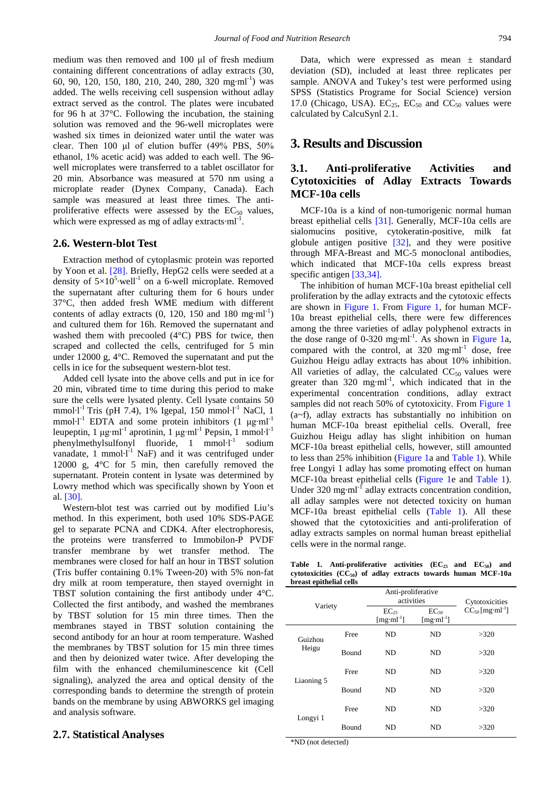medium was then removed and 100 μl of fresh medium containing different concentrations of adlay extracts (30, 60, 90, 120, 150, 180, 210, 240, 280, 320 mg·ml-1 ) was added. The wells receiving cell suspension without adlay extract served as the control. The plates were incubated for 96 h at 37°C. Following the incubation, the staining solution was removed and the 96-well microplates were washed six times in deionized water until the water was clear. Then 100 μl of elution buffer (49% PBS, 50% ethanol, 1% acetic acid) was added to each well. The 96 well microplates were transferred to a tablet oscillator for 20 min. Absorbance was measured at 570 nm using a microplate reader (Dynex Company, Canada). Each sample was measured at least three times. The antiproliferative effects were assessed by the  $EC_{50}$  values, which were expressed as mg of adlay extracts $\cdot$ ml<sup>-1</sup>.

#### **2.6. Western-blot Test**

Extraction method of cytoplasmic protein was reported by Yoon et al. [\[28\].](#page-7-16) Briefly, HepG2 cells were seeded at a density of  $5\times10^{5}$  well<sup>-1</sup> on a 6-well microplate. Removed the supernatant after culturing them for 6 hours under 37°C, then added fresh WME medium with different contents of adlay extracts  $(0, 120, 150 \text{ and } 180 \text{ mg} \cdot \text{ml}^{-1})$ and cultured them for 16h. Removed the supernatant and washed them with precooled (4°C) PBS for twice, then scraped and collected the cells, centrifuged for 5 min under 12000 g, 4°C. Removed the supernatant and put the cells in ice for the subsequent western-blot test.

Added cell lysate into the above cells and put in ice for 20 min, vibrated time to time during this period to make sure the cells were lysated plenty. Cell lysate contains 50 mmol·l<sup>-1</sup> Tris (pH 7.4), 1% Igepal, 150 mmol·l<sup>-1</sup> NaCl, 1 mmol·l<sup>-1</sup> EDTA and some protein inhibitors  $(1 \mu g \cdot ml^{-1})$ leupeptin, 1 μg·ml<sup>-1</sup> aprotinin, 1 μg·ml<sup>-1</sup> Pepsin, 1 mmol·l<sup>-1</sup> phenylmethylsulfonyl fluoride, 1 mmol $l^{-1}$  sodium vanadate,  $1 \text{ mmol·l}^{-1}$  NaF) and it was centrifuged under 12000 g, 4°C for 5 min, then carefully removed the supernatant. Protein content in lysate was determined by Lowry method which was specifically shown by Yoon et al. [\[30\].](#page-7-18)

Western-blot test was carried out by modified Liu's method. In this experiment, both used 10% SDS-PAGE gel to separate PCNA and CDK4. After electrophoresis, the proteins were transferred to Immobilon-P PVDF transfer membrane by wet transfer method. The membranes were closed for half an hour in TBST solution (Tris buffer containing 0.1% Tween-20) with 5% non-fat dry milk at room temperature, then stayed overnight in TBST solution containing the first antibody under 4°C. Collected the first antibody, and washed the membranes by TBST solution for 15 min three times. Then the membranes stayed in TBST solution containing the second antibody for an hour at room temperature. Washed the membranes by TBST solution for 15 min three times and then by deionized water twice. After developing the film with the enhanced chemiluminescence kit (Cell signaling), analyzed the area and optical density of the corresponding bands to determine the strength of protein bands on the membrane by using ABWORKS gel imaging and analysis software.

#### **2.7. Statistical Analyses**

Data, which were expressed as mean  $\pm$  standard deviation (SD), included at least three replicates per sample. ANOVA and Tukey's test were performed using SPSS (Statistics Programe for Social Science) version 17.0 (Chicago, USA).  $EC_{25}$ ,  $EC_{50}$  and  $CC_{50}$  values were calculated by CalcuSynl 2.1.

# **3. Results and Discussion**

# **3.1. Anti-proliferative Activities and Cytotoxicities of Adlay Extracts Towards MCF-10a cells**

MCF-10a is a kind of non-tumorigenic normal human breast epithelial cells [\[31\].](#page-7-19) Generally, MCF-10a cells are sialomucins positive, cytokeratin-positive, milk fat globule antigen positive [\[32\],](#page-7-20) and they were positive through MFA-Breast and MC-5 monoclonal antibodies, which indicated that MCF-10a cells express breast specific antigen [\[33,34\].](#page-7-21)

The inhibition of human MCF-10a breast epithelial cell proliferation by the adlay extracts and the cytotoxic effects are shown in [Figure 1.](#page-3-0) From [Figure 1,](#page-3-0) for human MCF-10a breast epithelial cells, there were few differences among the three varieties of adlay polyphenol extracts in the dose range of  $0-320$  mg·ml<sup>-1</sup>. As shown in [Figure 1a](#page-3-0), compared with the control, at  $320$  mg·ml<sup>-1</sup> dose, free Guizhou Heigu adlay extracts has about 10% inhibition. All varieties of adlay, the calculated  $CC_{50}$  values were greater than  $320$  mg·ml<sup>-1</sup>, which indicated that in the experimental concentration conditions, adlay extract samples did not reach 50% of cytotoxicity. From [Figure 1](#page-3-0) (a~f), adlay extracts has substantially no inhibition on human MCF-10a breast epithelial cells. Overall, free Guizhou Heigu adlay has slight inhibition on human MCF-10a breast epithelial cells, however, still amounted to less than 25% inhibition [\(Figure 1a](#page-3-0) and [Table 1\)](#page-2-0). While free Longyi 1 adlay has some promoting effect on human MCF-10a breast epithelial cells [\(Figure 1e](#page-3-0) and [Table 1\)](#page-2-0). Under  $320 \text{ mg} \cdot \text{ml}^{-1}$  adlay extracts concentration condition, all adlay samples were not detected toxicity on human MCF-10a breast epithelial cells [\(Table 1\)](#page-2-0). All these showed that the cytotoxicities and anti-proliferation of adlay extracts samples on normal human breast epithelial cells were in the normal range.

Table 1. Anti-proliferative activities  $(EC_{25}$  and  $EC_{50})$  and **cytotoxicities (CC50) of adlay extracts towards human MCF-10a breast epithelial cells**

<span id="page-2-0"></span>

| Variety          |              | Anti-proliferative<br>activities    |                             | Cytotoxicities                   |  |  |  |
|------------------|--------------|-------------------------------------|-----------------------------|----------------------------------|--|--|--|
|                  |              | $EC_{25}$<br>[mg·ml <sup>-1</sup> ] | $EC_{50}$<br>$[mg·ml^{-1}]$ | $CC_{50}$ [mg·ml <sup>-1</sup> ] |  |  |  |
| Guizhou<br>Heigu | Free         | N <sub>D</sub>                      | ND                          | >320                             |  |  |  |
|                  | <b>Bound</b> | <b>ND</b>                           | ND                          | >320                             |  |  |  |
| Liaoning 5       | Free         | ND                                  | ND                          | >320                             |  |  |  |
|                  | <b>Bound</b> | <b>ND</b>                           | ND.                         | >320                             |  |  |  |
| Longyi 1         | Free         | ND                                  | ND                          | >320                             |  |  |  |
|                  | Bound        | <b>ND</b>                           | ND                          | >320                             |  |  |  |

\*ND (not detected)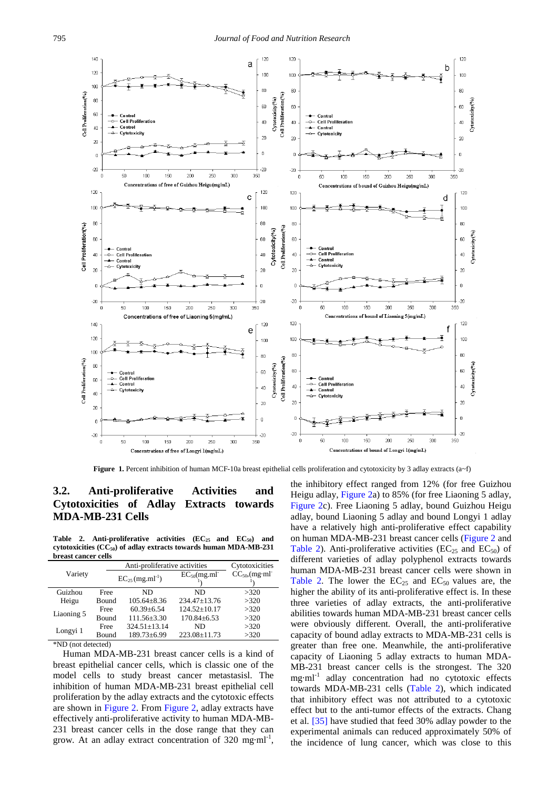<span id="page-3-0"></span>

**Figure 1.** Percent inhibition of human MCF-10a breast epithelial cells proliferation and cytotoxicity by 3 adlay extracts (a~f)

# **3.2. Anti-proliferative Activities and Cytotoxicities of Adlay Extracts towards MDA-MB-231 Cells**

Table 2. Anti-proliferative activities  $(EC_{25}$  and  $EC_{50})$  and **cytotoxicities (CC50) of adlay extracts towards human MDA-MB-231 breast cancer cells**

<span id="page-3-1"></span>

|            |              | Anti-proliferative activities    | Cytotoxicities     |                                 |
|------------|--------------|----------------------------------|--------------------|---------------------------------|
| Variety    |              | $EC_{25}$ (mg.ml <sup>-1</sup> ) | $EC_{50}(mg.m]$    | $CC_{50}$ , (mg·ml <sup>-</sup> |
| Guizhou    | Free         | ND                               | ND                 | >320                            |
| Heigu      | <b>Bound</b> | $105.64 + 8.36$                  | $234.47 \pm 13.76$ | >320                            |
| Liaoning 5 | Free         | $60.39 + 6.54$                   | $124.52 \pm 10.17$ | >320                            |
|            | <b>Bound</b> | $111.56 \pm 3.30$                | $170.84 + 6.53$    | >320                            |
| Longyi 1   | Free         | $324.51 + 13.14$                 | ND                 | >320                            |
|            | Bound        | 189.73±6.99                      | $223.08 \pm 11.73$ | >320                            |

\*ND (not detected)

Human MDA-MB-231 breast cancer cells is a kind of breast epithelial cancer cells, which is classic one of the model cells to study breast cancer metastasisl. The inhibition of human MDA-MB-231 breast epithelial cell proliferation by the adlay extracts and the cytotoxic effects are shown in [Figure 2.](#page-4-0) From [Figure 2,](#page-4-0) adlay extracts have effectively anti-proliferative activity to human MDA-MB-231 breast cancer cells in the dose range that they can grow. At an adlay extract concentration of 320 mg·ml<sup>-1</sup>, the inhibitory effect ranged from 12% (for free Guizhou Heigu adlay, [Figure 2a](#page-4-0)) to 85% (for free Liaoning 5 adlay, [Figure 2c](#page-4-0)). Free Liaoning 5 adlay, bound Guizhou Heigu adlay, bound Liaoning 5 adlay and bound Longyi 1 adlay have a relatively high anti-proliferative effect capability on human MDA-MB-231 breast cancer cells [\(Figure 2](#page-4-0) and [Table 2\)](#page-3-1). Anti-proliferative activities ( $EC_{25}$  and  $EC_{50}$ ) of different varieties of adlay polyphenol extracts towards human MDA-MB-231 breast cancer cells were shown in [Table 2.](#page-3-1) The lower the  $EC_{25}$  and  $EC_{50}$  values are, the higher the ability of its anti-proliferative effect is. In these three varieties of adlay extracts, the anti-proliferative abilities towards human MDA-MB-231 breast cancer cells were obviously different. Overall, the anti-proliferative capacity of bound adlay extracts to MDA-MB-231 cells is greater than free one. Meanwhile, the anti-proliferative capacity of Liaoning 5 adlay extracts to human MDA-MB-231 breast cancer cells is the strongest. The 320 mg·ml-1 adlay concentration had no cytotoxic effects towards MDA-MB-231 cells [\(Table 2\)](#page-3-1), which indicated that inhibitory effect was not attributed to a cytotoxic effect but to the anti-tumor effects of the extracts. Chang et al. [\[35\]](#page-7-22) have studied that feed 30% adlay powder to the experimental animals can reduced approximately 50% of the incidence of lung cancer, which was close to this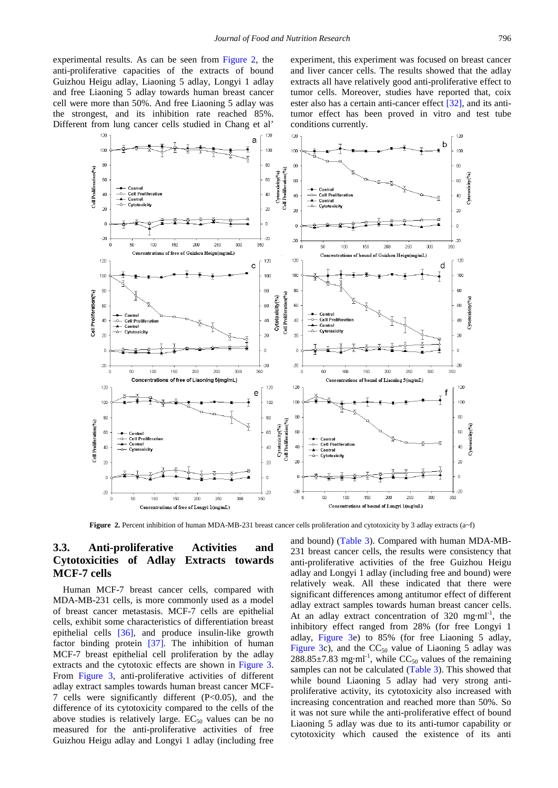experimental results. As can be seen from [Figure 2,](#page-4-0) the anti-proliferative capacities of the extracts of bound Guizhou Heigu adlay, Liaoning 5 adlay, Longyi 1 adlay and free Liaoning 5 adlay towards human breast cancer cell were more than 50%. And free Liaoning 5 adlay was the strongest, and its inhibition rate reached 85%. Different from lung cancer cells studied in Chang et al'

experiment, this experiment was focused on breast cancer and liver cancer cells. The results showed that the adlay extracts all have relatively good anti-proliferative effect to tumor cells. Moreover, studies have reported that, coix ester also has a certain anti-cancer effect [\[32\],](#page-7-20) and its antitumor effect has been proved in vitro and test tube conditions currently.

<span id="page-4-0"></span>

**Figure 2.** Percent inhibition of human MDA-MB-231 breast cancer cells proliferation and cytotoxicity by 3 adlay extracts (a~f)

## **3.3. Anti-proliferative Activities and Cytotoxicities of Adlay Extracts towards MCF-7 cells**

Human MCF-7 breast cancer cells, compared with MDA-MB-231 cells, is more commonly used as a model of breast cancer metastasis. MCF-7 cells are epithelial cells, exhibit some characteristics of differentiation breast epithelial cells [\[36\],](#page-7-23) and produce insulin-like growth factor binding protein [\[37\].](#page-7-24) The inhibition of human MCF-7 breast epithelial cell proliferation by the adlay extracts and the cytotoxic effects are shown in [Figure 3.](#page-5-0) From [Figure 3,](#page-5-0) anti-proliferative activities of different adlay extract samples towards human breast cancer MCF-7 cells were significantly different (P<0.05), and the difference of its cytotoxicity compared to the cells of the above studies is relatively large.  $EC_{50}$  values can be no measured for the anti-proliferative activities of free Guizhou Heigu adlay and Longyi 1 adlay (including free

and bound) [\(Table 3\)](#page-5-1). Compared with human MDA-MB-231 breast cancer cells, the results were consistency that anti-proliferative activities of the free Guizhou Heigu adlay and Longyi 1 adlay (including free and bound) were relatively weak. All these indicated that there were significant differences among antitumor effect of different adlay extract samples towards human breast cancer cells. At an adlay extract concentration of  $320$  mg·ml<sup>-1</sup>, the inhibitory effect ranged from 28% (for free Longyi 1 adlay, [Figure 3e](#page-5-0)) to 85% (for free Liaoning 5 adlay, [Figure 3c](#page-5-0)), and the  $CC_{50}$  value of Liaoning 5 adlay was  $288.85\pm7.83$  mg·ml<sup>-1</sup>, while CC<sub>50</sub> values of the remaining samples can not be calculated [\(Table 3\)](#page-5-1). This showed that while bound Liaoning 5 adlay had very strong antiproliferative activity, its cytotoxicity also increased with increasing concentration and reached more than 50%. So it was not sure while the anti-proliferative effect of bound Liaoning 5 adlay was due to its anti-tumor capability or cytotoxicity which caused the existence of its anti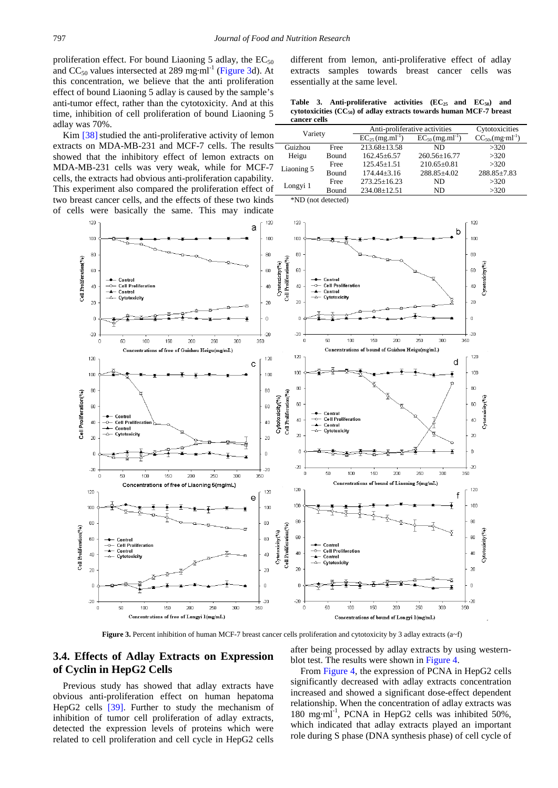proliferation effect. For bound Liaoning 5 adlay, the  $EC_{50}$ and  $CC_{50}$  values intersected at 289 mg·ml<sup>-1</sup> [\(Figure 3d](#page-5-0)). At this concentration, we believe that the anti proliferation effect of bound Liaoning 5 adlay is caused by the sample's anti-tumor effect, rather than the cytotoxicity. And at this time, inhibition of cell proliferation of bound Liaoning 5 adlay was 70%.

Kim [38] studied the anti-proliferative activity of lemon extracts on MDA-MB-231 and MCF-7 cells. The results showed that the inhibitory effect of lemon extracts on MDA-MB-231 cells was very weak, while for MCF-7 cells, the extracts had obvious anti-proliferation capability. This experiment also compared the proliferation effect of two breast cancer cells, and the effects of these two kinds of cells were basically the same. This may indicate

<span id="page-5-0"></span>

**Figure 3.** Percent inhibition of human MCF-7 breast cancer cells proliferation and cytotoxicity by 3 adlay extracts (a~f)

## **3.4. Effects of Adlay Extracts on Expression of Cyclin in HepG2 Cells**

Previous study has showed that adlay extracts have obvious anti-proliferation effect on human hepatoma HepG2 cells [\[39\].](#page-7-26) Further to study the mechanism of inhibition of tumor cell proliferation of adlay extracts, detected the expression levels of proteins which were related to cell proliferation and cell cycle in HepG2 cells after being processed by adlay extracts by using westernblot test. The results were shown i[n Figure 4.](#page-6-1)

From [Figure 4,](#page-6-1) the expression of PCNA in HepG2 cells significantly decreased with adlay extracts concentration increased and showed a significant dose-effect dependent relationship. When the concentration of adlay extracts was 180 mg·ml<sup>-1</sup>, PCNA in HepG2 cells was inhibited 50%, which indicated that adlay extracts played an important role during S phase (DNA synthesis phase) of cell cycle of

different from lemon, anti-proliferative effect of adlay extracts samples towards breast cancer cells was essentially at the same level.

Table 3. Anti-proliferative activities  $(EC_{25}$  and  $EC_{50})$  and **cytotoxicities (CC50) of adlay extracts towards human MCF-7 breast cancer cells**

<span id="page-5-1"></span>

| Variety    |              | Anti-proliferative activities    |                                  | Cytotoxicities                     |
|------------|--------------|----------------------------------|----------------------------------|------------------------------------|
|            |              | $EC_{25}$ (mg.ml <sup>-1</sup> ) | $EC_{50}$ (mg.ml <sup>-1</sup> ) | $CC_{50}$ , (mg·ml <sup>-1</sup> ) |
| Guizhou    | <b>Free</b>  | 213.68+13.58                     | ND                               | >320                               |
| Heigu      | <b>Bound</b> | $162.45 \pm 6.57$                | $260.56 \pm 16.77$               | >320                               |
| Liaoning 5 | <b>Free</b>  | $125.45 + 1.51$                  | $210.65 \pm 0.81$                | >320                               |
|            | <b>Bound</b> | $174.44 + 3.16$                  | 288.85+4.02                      | $288.85 \pm 7.83$                  |
| Longyi 1   | Free         | $273.25 + 16.23$                 | ND                               | >320                               |
|            | <b>Bound</b> | 234.08±12.51                     | ND                               | >320                               |

\*ND (not detected)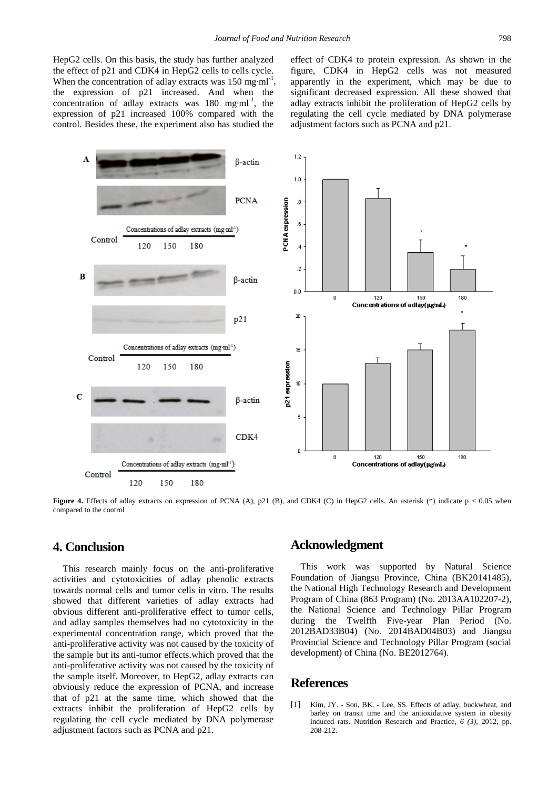HepG2 cells. On this basis, the study has further analyzed the effect of p21 and CDK4 in HepG2 cells to cells cycle. When the concentration of adlay extracts was  $150 \text{ mg} \cdot \text{ml}^{-1}$ , the expression of p21 increased. And when the concentration of adlay extracts was  $180$  mg·ml<sup>-1</sup>, the expression of p21 increased 100% compared with the control. Besides these, the experiment also has studied the

effect of CDK4 to protein expression. As shown in the figure, CDK4 in HepG2 cells was not measured apparently in the experiment, which may be due to significant decreased expression. All these showed that adlay extracts inhibit the proliferation of HepG2 cells by regulating the cell cycle mediated by DNA polymerase adjustment factors such as PCNA and p21.

<span id="page-6-1"></span>

**Figure 4.** Effects of adlay extracts on expression of PCNA (A), p21 (B), and CDK4 (C) in HepG2 cells. An asterisk  $(*)$  indicate  $p < 0.05$  when compared to the control

# **4. Conclusion**

This research mainly focus on the anti-proliferative activities and cytotoxicities of adlay phenolic extracts towards normal cells and tumor cells in vitro. The results showed that different varieties of adlay extracts had obvious different anti-proliferative effect to tumor cells, and adlay samples themselves had no cytotoxicity in the experimental concentration range, which proved that the anti-proliferative activity was not caused by the toxicity of the sample but its anti-tumor effects.which proved that the anti-proliferative activity was not caused by the toxicity of the sample itself. Moreover, to HepG2, adlay extracts can obviously reduce the expression of PCNA, and increase that of p21 at the same time, which showed that the extracts inhibit the proliferation of HepG2 cells by regulating the cell cycle mediated by DNA polymerase adjustment factors such as PCNA and p21.

## **Acknowledgment**

This work was supported by Natural Science Foundation of Jiangsu Province, China (BK20141485), the National High Technology Research and Development Program of China (863 Program) (No. 2013AA102207-2), the National Science and Technology Pillar Program during the Twelfth Five-year Plan Period (No. 2012BAD33B04) (No. 2014BAD04B03) and Jiangsu Provincial Science and Technology Pillar Program (social development) of China (No. BE2012764).

# **References**

<span id="page-6-0"></span>[1] Kim, JY. - Son, BK. - Lee, SS. Effects of adlay, buckwheat, and barley on transit time and the antioxidative system in obesity induced rats. Nutrition Research and Practice, *6 (3)*, 2012, pp. 208-212.